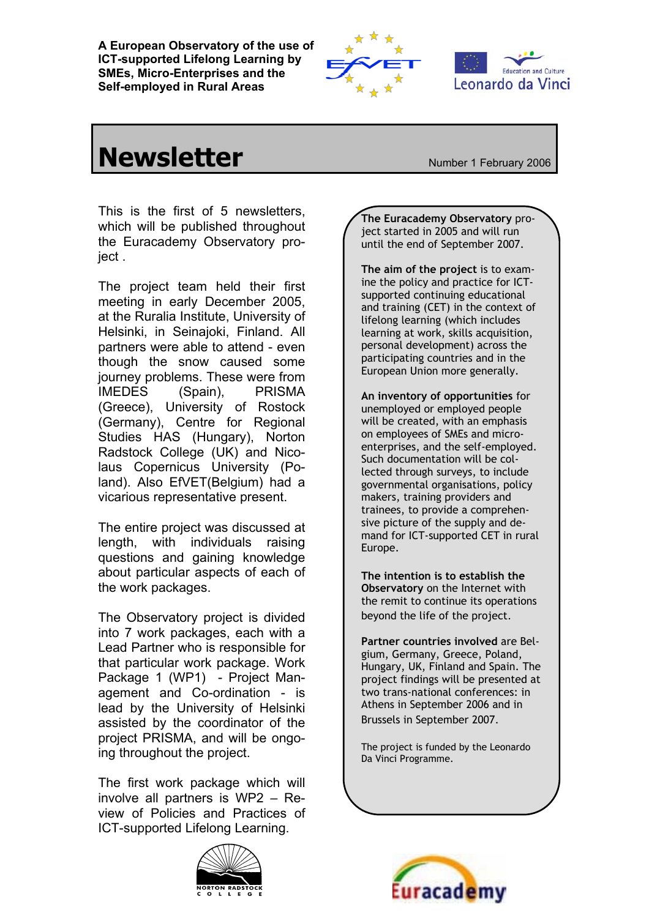**A European Observatory of the use of ICT-supported Lifelong Learning by SMEs, Micro-Enterprises and the Self-employed in Rural Areas**





## **Newsletter**<br> **Newsletter**

This is the first of 5 newsletters, which will be published throughout the Euracademy Observatory project .

The project team held their first meeting in early December 2005, at the Ruralia Institute, University of Helsinki, in Seinajoki, Finland. All partners were able to attend - even though the snow caused some journey problems. These were from IMEDES (Spain), PRISMA (Greece), University of Rostock (Germany), Centre for Regional Studies HAS (Hungary), Norton Radstock College (UK) and Nicolaus Copernicus University (Poland). Also EfVET(Belgium) had a vicarious representative present.

The entire project was discussed at length, with individuals raising questions and gaining knowledge about particular aspects of each of the work packages.

The Observatory project is divided into 7 work packages, each with a Lead Partner who is responsible for that particular work package. Work Package 1 (WP1) - Project Management and Co-ordination - is lead by the University of Helsinki assisted by the coordinator of the project PRISMA, and will be ongoing throughout the project.

The first work package which will involve all partners is WP2 – Review of Policies and Practices of ICT-supported Lifelong Learning.



**The Euracademy Observatory** project started in 2005 and will run until the end of September 2007.

**The aim of the project** is to examine the policy and practice for ICTsupported continuing educational and training (CET) in the context of lifelong learning (which includes learning at work, skills acquisition, personal development) across the participating countries and in the European Union more generally.

**An inventory of opportunities** for unemployed or employed people will be created, with an emphasis on employees of SMEs and microenterprises, and the self-employed. Such documentation will be collected through surveys, to include governmental organisations, policy makers, training providers and trainees, to provide a comprehensive picture of the supply and demand for ICT-supported CET in rural Europe.

**The intention is to establish the Observatory** on the Internet with the remit to continue its operations beyond the life of the project.

**Partner countries involved** are Belgium, Germany, Greece, Poland, Hungary, UK, Finland and Spain. The project findings will be presented at two trans-national conferences: in Athens in September 2006 and in Brussels in September 2007.

The project is funded by the Leonardo Da Vinci Programme.